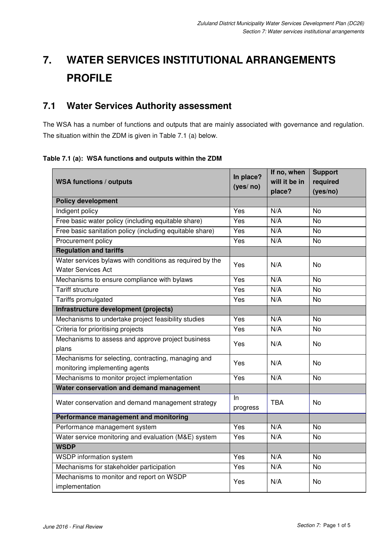# **7. WATER SERVICES INSTITUTIONAL ARRANGEMENTS PROFILE**

## **7.1 Water Services Authority assessment**

The WSA has a number of functions and outputs that are mainly associated with governance and regulation. The situation within the ZDM is given in Table 7.1 (a) below.

**Table 7.1 (a): WSA functions and outputs within the ZDM** 

| <b>WSA functions / outputs</b>                             | In place?       | If no, when<br>will it be in | <b>Support</b><br>required |
|------------------------------------------------------------|-----------------|------------------------------|----------------------------|
|                                                            | (yes/no)        | place?                       | (yes/no)                   |
| <b>Policy development</b>                                  |                 |                              |                            |
| Indigent policy                                            | Yes             | N/A                          | <b>No</b>                  |
| Free basic water policy (including equitable share)        | Yes             | N/A                          | <b>No</b>                  |
| Free basic sanitation policy (including equitable share)   | Yes             | N/A                          | <b>No</b>                  |
| Procurement policy                                         | Yes             | N/A                          | <b>No</b>                  |
| <b>Regulation and tariffs</b>                              |                 |                              |                            |
| Water services bylaws with conditions as required by the   | Yes             | N/A                          | <b>No</b>                  |
| <b>Water Services Act</b>                                  |                 |                              |                            |
| Mechanisms to ensure compliance with bylaws                | Yes             | N/A                          | $\overline{N}$             |
| <b>Tariff structure</b>                                    | Yes             | N/A                          | <b>No</b>                  |
| Tariffs promulgated                                        | Yes             | N/A                          | <b>No</b>                  |
| Infrastructure development (projects)                      |                 |                              |                            |
| Mechanisms to undertake project feasibility studies        | Yes             | N/A                          | <b>No</b>                  |
| Criteria for prioritising projects                         | Yes             | N/A                          | <b>No</b>                  |
| Mechanisms to assess and approve project business          | Yes             | N/A                          | <b>No</b>                  |
| plans                                                      |                 |                              |                            |
| Mechanisms for selecting, contracting, managing and        | Yes             | N/A                          | <b>No</b>                  |
| monitoring implementing agents                             |                 |                              |                            |
| Mechanisms to monitor project implementation               | N/A<br>Yes      |                              | <b>No</b>                  |
| Water conservation and demand management                   |                 |                              |                            |
| Water conservation and demand management strategy          | In.<br>progress | <b>TBA</b>                   | <b>No</b>                  |
| Performance management and monitoring                      |                 |                              |                            |
| Performance management system                              | Yes             | N/A                          | $\overline{N}$             |
| Water service monitoring and evaluation (M&E) system       | Yes             | N/A                          | No                         |
| <b>WSDP</b>                                                |                 |                              |                            |
| <b>WSDP</b> information system                             | Yes             | N/A                          | $\overline{N}$             |
| Mechanisms for stakeholder participation                   | Yes             | N/A                          | No                         |
| Mechanisms to monitor and report on WSDP<br>implementation | Yes             | N/A                          | No                         |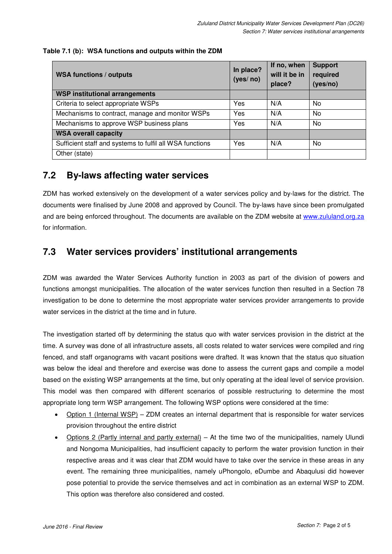#### **Table 7.1 (b): WSA functions and outputs within the ZDM**

| <b>WSA functions / outputs</b>                           | In place?<br>(yes/no) | If no, when<br>will it be in<br>place? | <b>Support</b><br>required<br>(yes/no) |
|----------------------------------------------------------|-----------------------|----------------------------------------|----------------------------------------|
| <b>WSP institutional arrangements</b>                    |                       |                                        |                                        |
| Criteria to select appropriate WSPs                      | Yes                   | N/A                                    | No.                                    |
| Mechanisms to contract, manage and monitor WSPs          | Yes                   | N/A                                    | N <sub>0</sub>                         |
| Mechanisms to approve WSP business plans                 | Yes                   | N/A                                    | No                                     |
| <b>WSA overall capacity</b>                              |                       |                                        |                                        |
| Sufficient staff and systems to fulfil all WSA functions | Yes                   | N/A                                    | No                                     |
| Other (state)                                            |                       |                                        |                                        |

### **7.2 By-laws affecting water services**

ZDM has worked extensively on the development of a water services policy and by-laws for the district. The documents were finalised by June 2008 and approved by Council. The by-laws have since been promulgated and are being enforced throughout. The documents are available on the ZDM website at www.zululand.org.za for information.

## **7.3 Water services providers' institutional arrangements**

ZDM was awarded the Water Services Authority function in 2003 as part of the division of powers and functions amongst municipalities. The allocation of the water services function then resulted in a Section 78 investigation to be done to determine the most appropriate water services provider arrangements to provide water services in the district at the time and in future.

The investigation started off by determining the status quo with water services provision in the district at the time. A survey was done of all infrastructure assets, all costs related to water services were compiled and ring fenced, and staff organograms with vacant positions were drafted. It was known that the status quo situation was below the ideal and therefore and exercise was done to assess the current gaps and compile a model based on the existing WSP arrangements at the time, but only operating at the ideal level of service provision. This model was then compared with different scenarios of possible restructuring to determine the most appropriate long term WSP arrangement. The following WSP options were considered at the time:

- Option 1 (Internal WSP) ZDM creates an internal department that is responsible for water services provision throughout the entire district
- Options 2 (Partly internal and partly external) At the time two of the municipalities, namely Ulundi and Nongoma Municipalities, had insufficient capacity to perform the water provision function in their respective areas and it was clear that ZDM would have to take over the service in these areas in any event. The remaining three municipalities, namely uPhongolo, eDumbe and Abaqulusi did however pose potential to provide the service themselves and act in combination as an external WSP to ZDM. This option was therefore also considered and costed.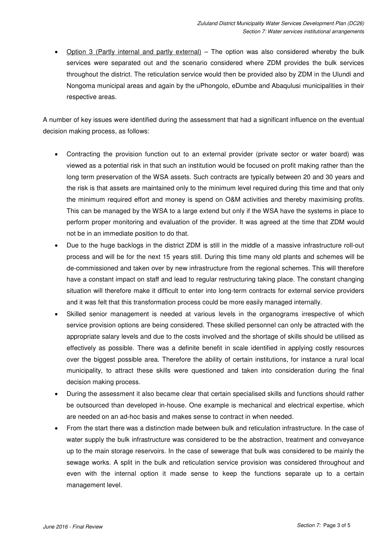• Option 3 (Partly internal and partly external) – The option was also considered whereby the bulk services were separated out and the scenario considered where ZDM provides the bulk services throughout the district. The reticulation service would then be provided also by ZDM in the Ulundi and Nongoma municipal areas and again by the uPhongolo, eDumbe and Abaqulusi municipalities in their respective areas.

A number of key issues were identified during the assessment that had a significant influence on the eventual decision making process, as follows:

- Contracting the provision function out to an external provider (private sector or water board) was viewed as a potential risk in that such an institution would be focused on profit making rather than the long term preservation of the WSA assets. Such contracts are typically between 20 and 30 years and the risk is that assets are maintained only to the minimum level required during this time and that only the minimum required effort and money is spend on O&M activities and thereby maximising profits. This can be managed by the WSA to a large extend but only if the WSA have the systems in place to perform proper monitoring and evaluation of the provider. It was agreed at the time that ZDM would not be in an immediate position to do that.
- Due to the huge backlogs in the district ZDM is still in the middle of a massive infrastructure roll-out process and will be for the next 15 years still. During this time many old plants and schemes will be de-commissioned and taken over by new infrastructure from the regional schemes. This will therefore have a constant impact on staff and lead to regular restructuring taking place. The constant changing situation will therefore make it difficult to enter into long-term contracts for external service providers and it was felt that this transformation process could be more easily managed internally.
- Skilled senior management is needed at various levels in the organograms irrespective of which service provision options are being considered. These skilled personnel can only be attracted with the appropriate salary levels and due to the costs involved and the shortage of skills should be utilised as effectively as possible. There was a definite benefit in scale identified in applying costly resources over the biggest possible area. Therefore the ability of certain institutions, for instance a rural local municipality, to attract these skills were questioned and taken into consideration during the final decision making process.
- During the assessment it also became clear that certain specialised skills and functions should rather be outsourced than developed in-house. One example is mechanical and electrical expertise, which are needed on an ad-hoc basis and makes sense to contract in when needed.
- From the start there was a distinction made between bulk and reticulation infrastructure. In the case of water supply the bulk infrastructure was considered to be the abstraction, treatment and conveyance up to the main storage reservoirs. In the case of sewerage that bulk was considered to be mainly the sewage works. A split in the bulk and reticulation service provision was considered throughout and even with the internal option it made sense to keep the functions separate up to a certain management level.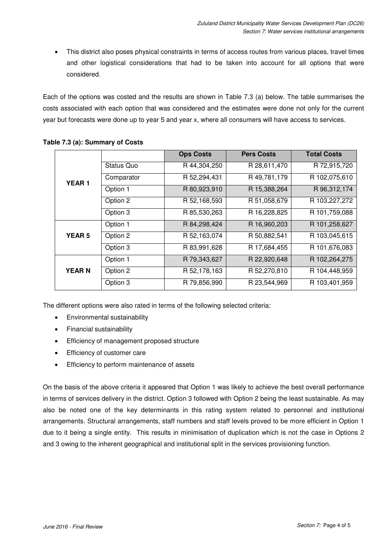• This district also poses physical constraints in terms of access routes from various places, travel times and other logistical considerations that had to be taken into account for all options that were considered.

Each of the options was costed and the results are shown in Table 7.3 (a) below. The table summarises the costs associated with each option that was considered and the estimates were done not only for the current year but forecasts were done up to year 5 and year x, where all consumers will have access to services.

|               |                   | <b>Ops Costs</b> | <b>Pers Costs</b> | <b>Total Costs</b> |
|---------------|-------------------|------------------|-------------------|--------------------|
| <b>YEAR1</b>  | <b>Status Quo</b> | R 44,304,250     | R 28,611,470      | R 72,915,720       |
|               | Comparator        | R 52,294,431     | R 49,781,179      | R 102,075,610      |
|               | Option 1          | R 80,923,910     | R 15,388,264      | R 96, 312, 174     |
|               | Option 2          | R 52,168,593     | R 51,058,679      | R 103,227,272      |
|               | Option 3          | R 85,530,263     | R 16,228,825      | R 101,759,088      |
|               | Option 1          | R 84, 298, 424   | R 16,960,203      | R 101,258,627      |
| <b>YEAR 5</b> | Option 2          | R 52,163,074     | R 50,882,541      | R 103,045,615      |
|               | Option 3          | R 83,991,628     | R 17,684,455      | R 101,676,083      |
|               | Option 1          | R 79,343,627     | R 22,920,648      | R 102,264,275      |
| <b>YEARN</b>  | Option 2          | R 52,178,163     | R 52,270,810      | R 104,448,959      |
|               | Option 3          | R 79,856,990     | R 23,544,969      | R 103,401,959      |

#### **Table 7.3 (a): Summary of Costs**

The different options were also rated in terms of the following selected criteria:

- Environmental sustainability
- Financial sustainability
- Efficiency of management proposed structure
- Efficiency of customer care
- Efficiency to perform maintenance of assets

On the basis of the above criteria it appeared that Option 1 was likely to achieve the best overall performance in terms of services delivery in the district. Option 3 followed with Option 2 being the least sustainable. As may also be noted one of the key determinants in this rating system related to personnel and institutional arrangements. Structural arrangements, staff numbers and staff levels proved to be more efficient in Option 1 due to it being a single entity. This results in minimisation of duplication which is not the case in Options 2 and 3 owing to the inherent geographical and institutional split in the services provisioning function.